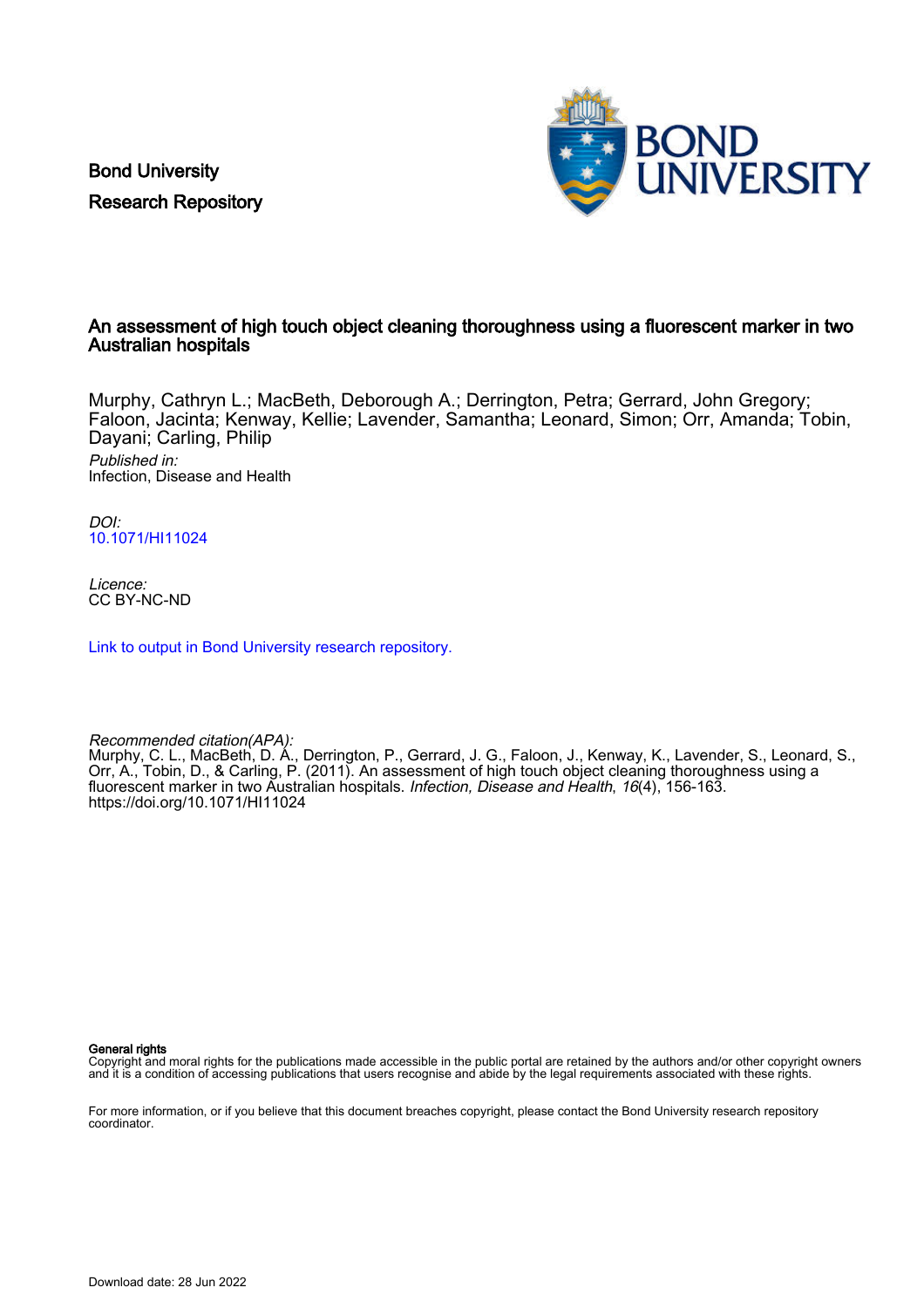Bond University Research Repository



# An assessment of high touch object cleaning thoroughness using a fluorescent marker in two Australian hospitals

Murphy, Cathryn L.; MacBeth, Deborough A.; Derrington, Petra; Gerrard, John Gregory; Faloon, Jacinta; Kenway, Kellie; Lavender, Samantha; Leonard, Simon; Orr, Amanda; Tobin, Dayani; Carling, Philip Published in: Infection, Disease and Health

DOI: [10.1071/HI11024](https://doi.org/10.1071/HI11024)

Licence: CC BY-NC-ND

[Link to output in Bond University research repository.](https://research.bond.edu.au/en/publications/0d96f851-174a-4772-9f84-54e20b5690bd)

Recommended citation(APA): Murphy, C. L., MacBeth, D. Á., Derrington, P., Gerrard, J. G., Faloon, J., Kenway, K., Lavender, S., Leonard, S., Orr, A., Tobin, D., & Carling, P. (2011). An assessment of high touch object cleaning thoroughness using a fluorescent marker in two Australian hospitals. Infection, Disease and Health, 16(4), 156-163. <https://doi.org/10.1071/HI11024>

General rights

Copyright and moral rights for the publications made accessible in the public portal are retained by the authors and/or other copyright owners and it is a condition of accessing publications that users recognise and abide by the legal requirements associated with these rights.

For more information, or if you believe that this document breaches copyright, please contact the Bond University research repository coordinator.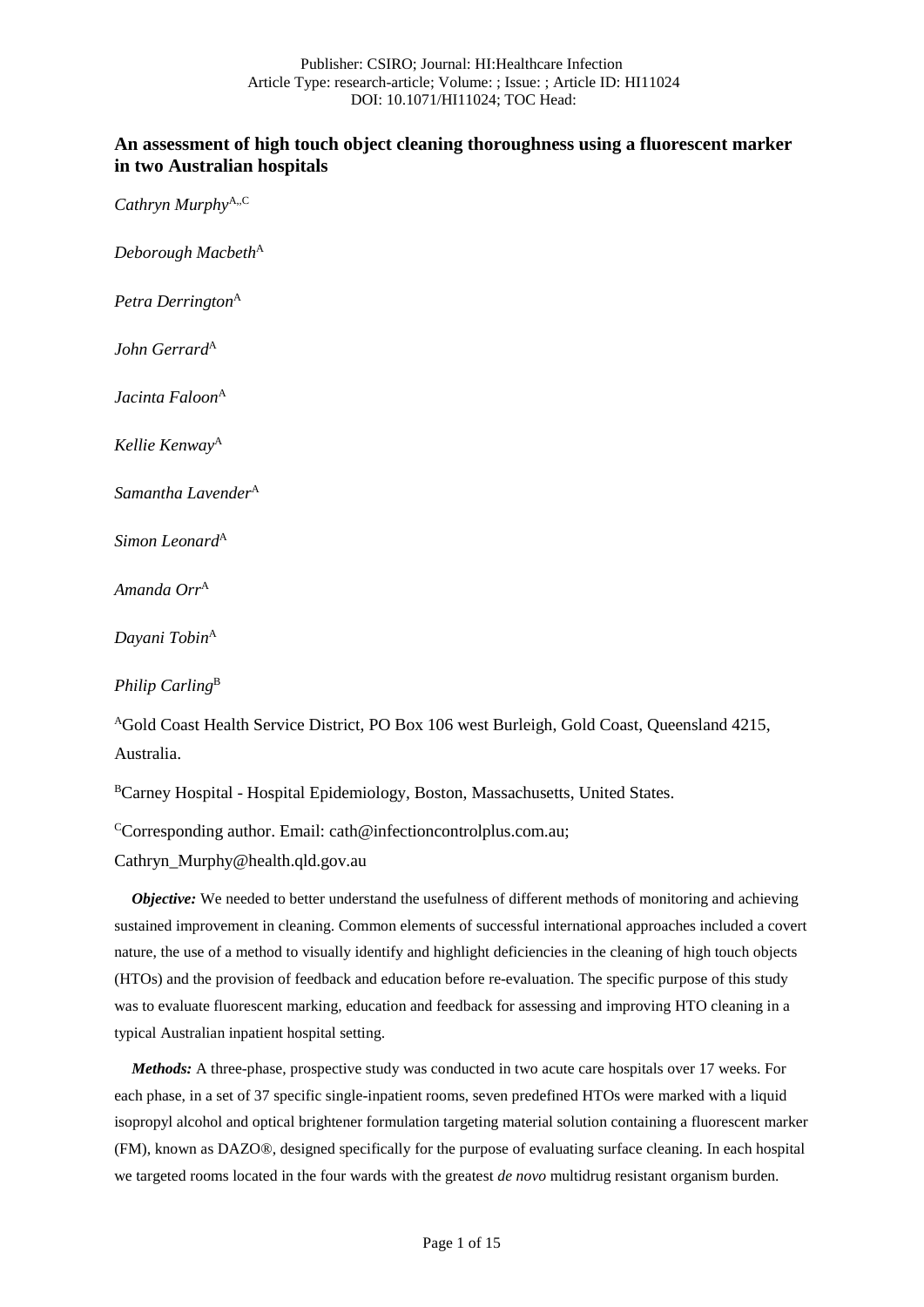# **An assessment of high touch object cleaning thoroughness using a fluorescent marker in two Australian hospitals**

*Cathryn Murphy*A,,C

*Deborough Macbeth*<sup>A</sup>

*Petra Derrington*<sup>A</sup>

*John Gerrard*<sup>A</sup>

*Jacinta Faloon*<sup>A</sup>

*Kellie Kenway*<sup>A</sup>

*Samantha Lavender*<sup>A</sup>

*Simon Leonard*<sup>A</sup>

*Amanda Orr*<sup>A</sup>

*Dayani Tobin*<sup>A</sup>

*Philip Carling*<sup>B</sup>

AGold Coast Health Service District, PO Box 106 west Burleigh, Gold Coast, Queensland 4215, Australia.

BCarney Hospital - Hospital Epidemiology, Boston, Massachusetts, United States.

<sup>C</sup>Corresponding author. Email: cath@infectioncontrolplus.com.au;

Cathryn\_Murphy@health.qld.gov.au

*Objective:* We needed to better understand the usefulness of different methods of monitoring and achieving sustained improvement in cleaning. Common elements of successful international approaches included a covert nature, the use of a method to visually identify and highlight deficiencies in the cleaning of high touch objects (HTOs) and the provision of feedback and education before re-evaluation. The specific purpose of this study was to evaluate fluorescent marking, education and feedback for assessing and improving HTO cleaning in a typical Australian inpatient hospital setting.

*Methods:* A three-phase, prospective study was conducted in two acute care hospitals over 17 weeks. For each phase, in a set of 37 specific single-inpatient rooms, seven predefined HTOs were marked with a liquid isopropyl alcohol and optical brightener formulation targeting material solution containing a fluorescent marker (FM), known as DAZO®, designed specifically for the purpose of evaluating surface cleaning. In each hospital we targeted rooms located in the four wards with the greatest *de novo* multidrug resistant organism burden.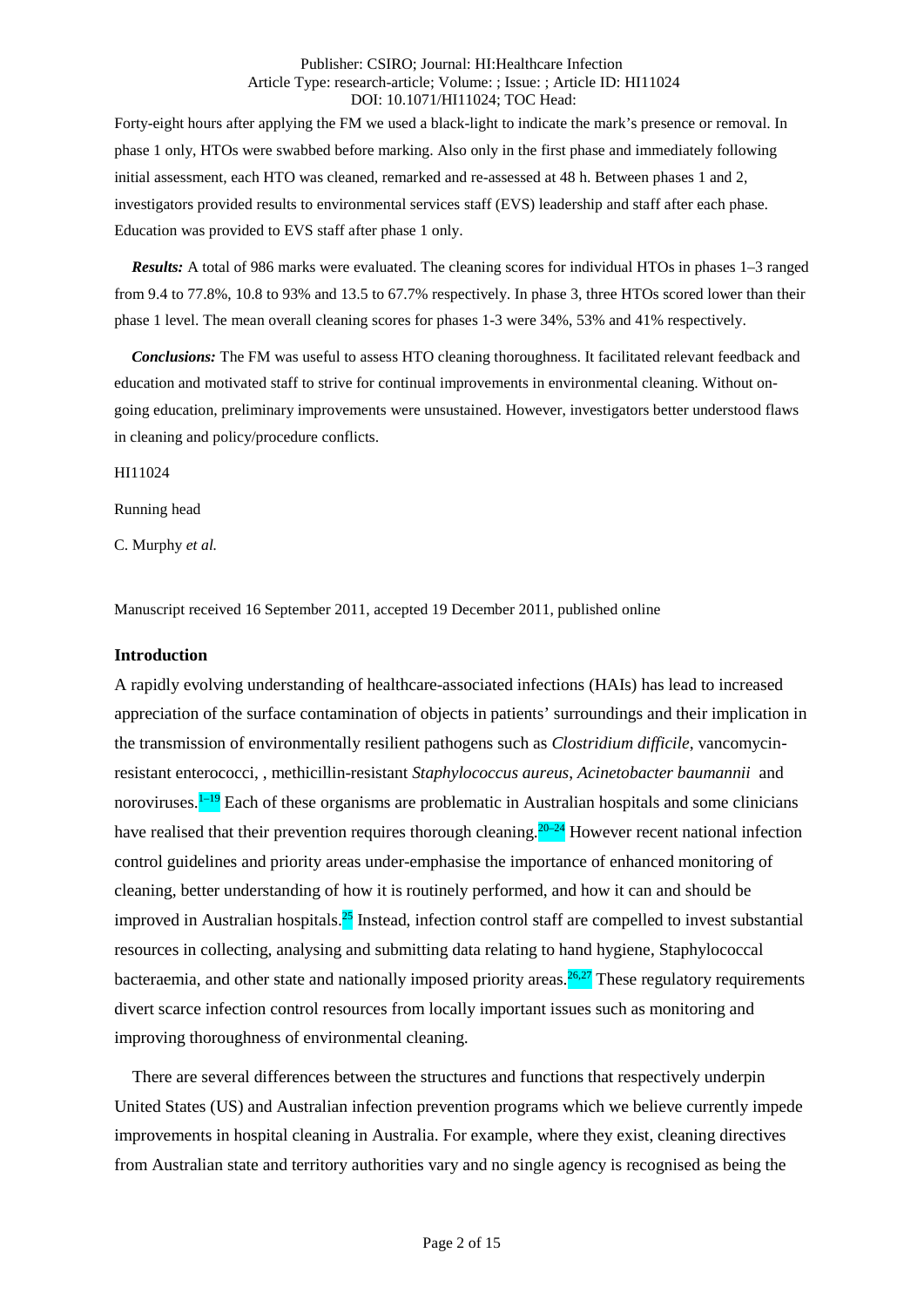Forty-eight hours after applying the FM we used a black-light to indicate the mark's presence or removal. In phase 1 only, HTOs were swabbed before marking. Also only in the first phase and immediately following initial assessment, each HTO was cleaned, remarked and re-assessed at 48 h. Between phases 1 and 2, investigators provided results to environmental services staff (EVS) leadership and staff after each phase. Education was provided to EVS staff after phase 1 only.

*Results:* A total of 986 marks were evaluated. The cleaning scores for individual HTOs in phases 1–3 ranged from 9.4 to 77.8%, 10.8 to 93% and 13.5 to 67.7% respectively. In phase 3, three HTOs scored lower than their phase 1 level. The mean overall cleaning scores for phases 1-3 were 34%, 53% and 41% respectively.

*Conclusions:* The FM was useful to assess HTO cleaning thoroughness. It facilitated relevant feedback and education and motivated staff to strive for continual improvements in environmental cleaning. Without ongoing education, preliminary improvements were unsustained. However, investigators better understood flaws in cleaning and policy/procedure conflicts.

HI11024

Running head

C. Murphy *et al.*

Manuscript received 16 September 2011, accepted 19 December 2011, published online

### **Introduction**

A rapidly evolving understanding of healthcare-associated infections (HAIs) has lead to increased appreciation of the surface contamination of objects in patients' surroundings and their implication in the transmission of environmentally resilient pathogens such as *Clostridium difficile*, vancomycinresistant enterococci, , methicillin-resistant *Staphylococcus aureus*, *Acinetobacter baumannii* and noroviruses. $1-19$  Each of these organisms are problematic in Australian hospitals and some clinicians have realised that their prevention requires thorough cleaning.<sup>20–24</sup> However recent national infection control guidelines and priority areas under-emphasise the importance of enhanced monitoring of cleaning, better understanding of how it is routinely performed, and how it can and should be improved in Australian hospitals.<sup>25</sup> Instead, infection control staff are compelled to invest substantial resources in collecting, analysing and submitting data relating to hand hygiene, Staphylococcal bacteraemia, and other state and nationally imposed priority areas.<sup>26,27</sup> These regulatory requirements divert scarce infection control resources from locally important issues such as monitoring and improving thoroughness of environmental cleaning.

There are several differences between the structures and functions that respectively underpin United States (US) and Australian infection prevention programs which we believe currently impede improvements in hospital cleaning in Australia. For example, where they exist, cleaning directives from Australian state and territory authorities vary and no single agency is recognised as being the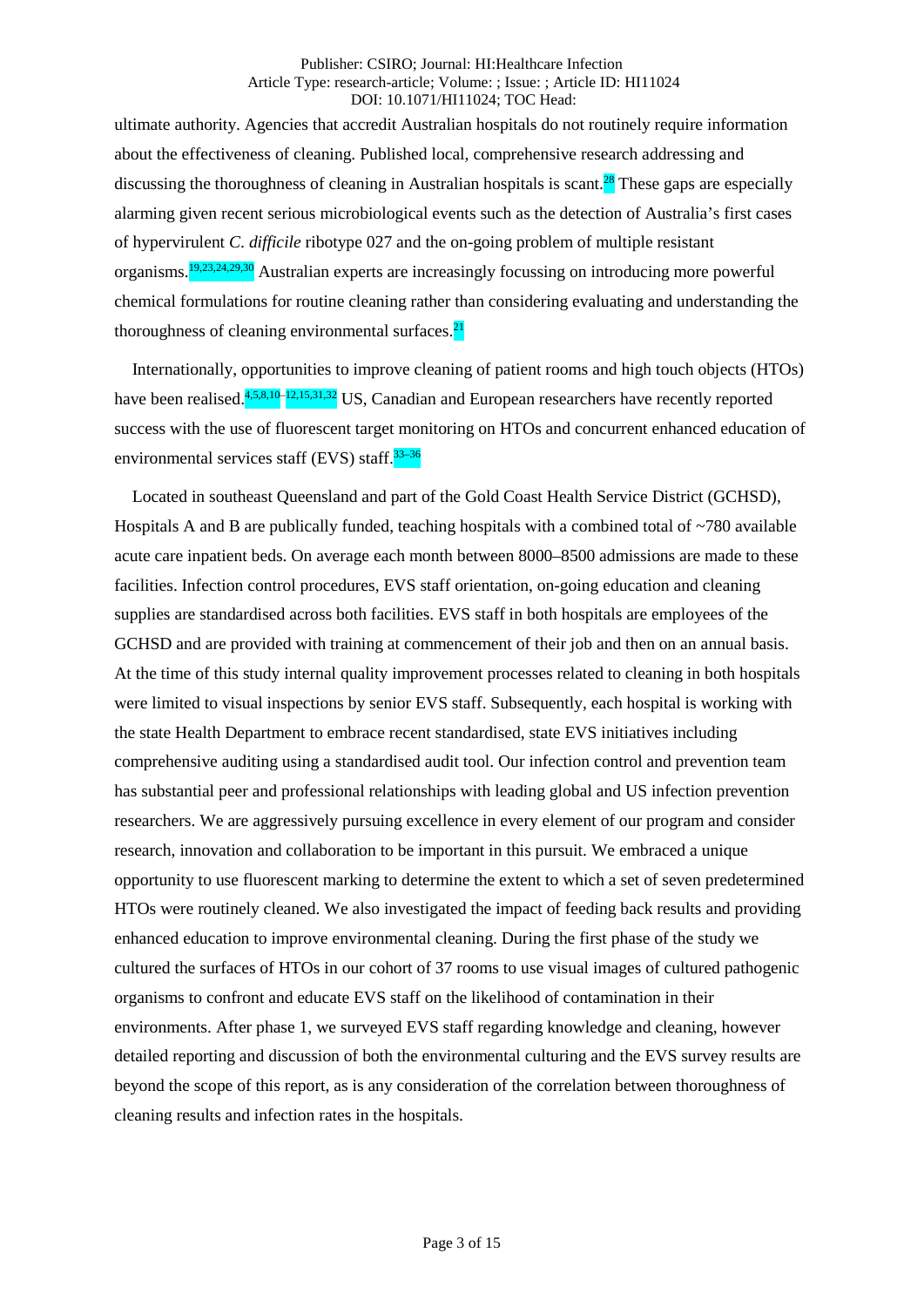ultimate authority. Agencies that accredit Australian hospitals do not routinely require information about the effectiveness of cleaning. Published local, comprehensive research addressing and discussing the thoroughness of cleaning in Australian hospitals is scant.<sup>28</sup> These gaps are especially alarming given recent serious microbiological events such as the detection of Australia's first cases of hypervirulent *C*. *difficile* ribotype 027 and the on-going problem of multiple resistant organisms.<sup>19,23,24,29,30</sup> Australian experts are increasingly focussing on introducing more powerful chemical formulations for routine cleaning rather than considering evaluating and understanding the thoroughness of cleaning environmental surfaces. $^{21}$ 

Internationally, opportunities to improve cleaning of patient rooms and high touch objects (HTOs) have been realised.<sup>4,5,8,10–12,15,31,32</sup> US, Canadian and European researchers have recently reported success with the use of fluorescent target monitoring on HTOs and concurrent enhanced education of environmental services staff (EVS) staff. $33-36$ 

Located in southeast Queensland and part of the Gold Coast Health Service District (GCHSD), Hospitals A and B are publically funded, teaching hospitals with a combined total of  $\sim$ 780 available acute care inpatient beds. On average each month between 8000–8500 admissions are made to these facilities. Infection control procedures, EVS staff orientation, on-going education and cleaning supplies are standardised across both facilities. EVS staff in both hospitals are employees of the GCHSD and are provided with training at commencement of their job and then on an annual basis. At the time of this study internal quality improvement processes related to cleaning in both hospitals were limited to visual inspections by senior EVS staff. Subsequently, each hospital is working with the state Health Department to embrace recent standardised, state EVS initiatives including comprehensive auditing using a standardised audit tool. Our infection control and prevention team has substantial peer and professional relationships with leading global and US infection prevention researchers. We are aggressively pursuing excellence in every element of our program and consider research, innovation and collaboration to be important in this pursuit. We embraced a unique opportunity to use fluorescent marking to determine the extent to which a set of seven predetermined HTOs were routinely cleaned. We also investigated the impact of feeding back results and providing enhanced education to improve environmental cleaning. During the first phase of the study we cultured the surfaces of HTOs in our cohort of 37 rooms to use visual images of cultured pathogenic organisms to confront and educate EVS staff on the likelihood of contamination in their environments. After phase 1, we surveyed EVS staff regarding knowledge and cleaning, however detailed reporting and discussion of both the environmental culturing and the EVS survey results are beyond the scope of this report, as is any consideration of the correlation between thoroughness of cleaning results and infection rates in the hospitals.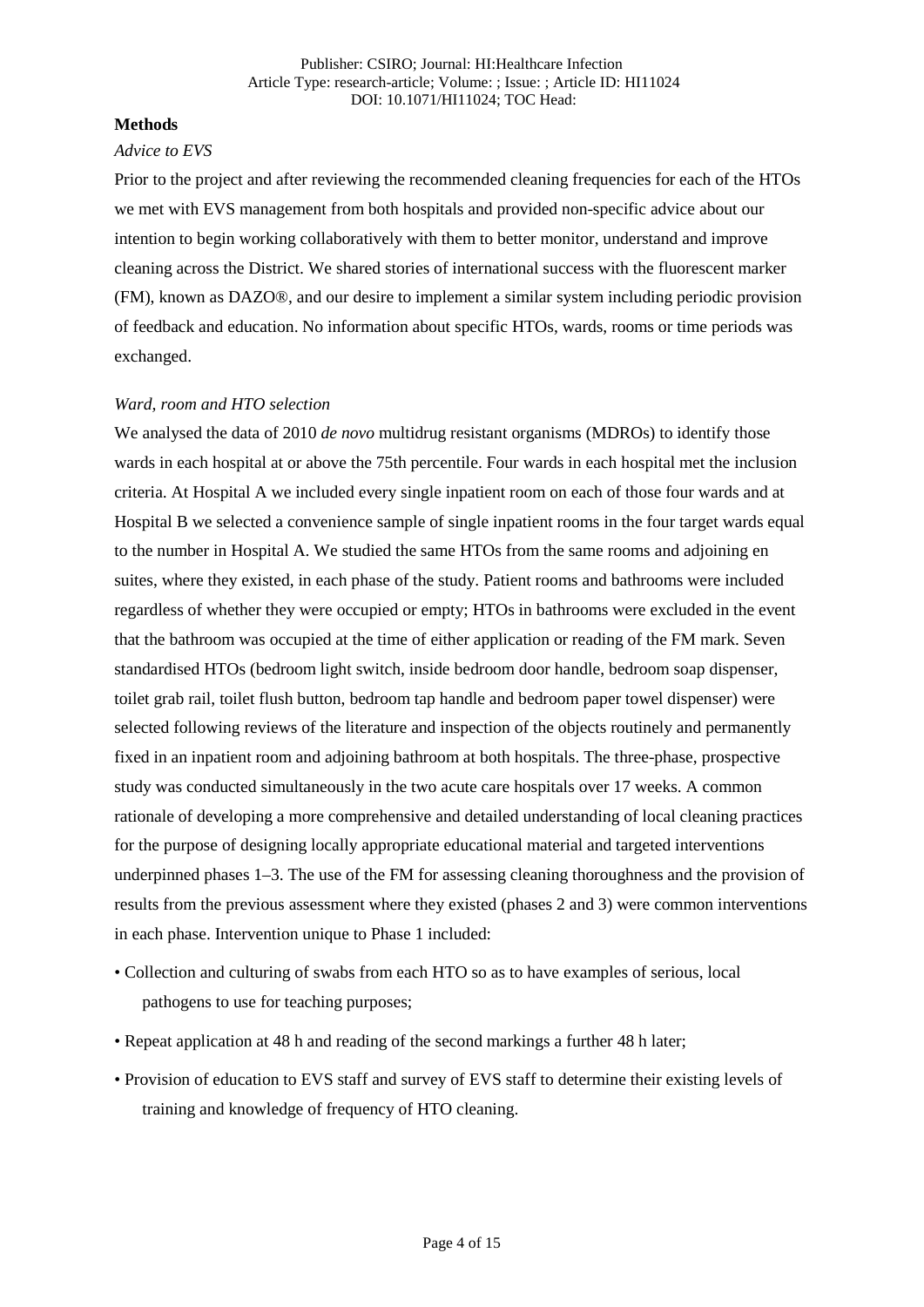# **Methods**

# *Advice to EVS*

Prior to the project and after reviewing the recommended cleaning frequencies for each of the HTOs we met with EVS management from both hospitals and provided non-specific advice about our intention to begin working collaboratively with them to better monitor, understand and improve cleaning across the District. We shared stories of international success with the fluorescent marker (FM), known as DAZO®, and our desire to implement a similar system including periodic provision of feedback and education. No information about specific HTOs, wards, rooms or time periods was exchanged.

# *Ward, room and HTO selection*

We analysed the data of 2010 *de novo* multidrug resistant organisms (MDROs) to identify those wards in each hospital at or above the 75th percentile. Four wards in each hospital met the inclusion criteria. At Hospital A we included every single inpatient room on each of those four wards and at Hospital B we selected a convenience sample of single inpatient rooms in the four target wards equal to the number in Hospital A. We studied the same HTOs from the same rooms and adjoining en suites, where they existed, in each phase of the study. Patient rooms and bathrooms were included regardless of whether they were occupied or empty; HTOs in bathrooms were excluded in the event that the bathroom was occupied at the time of either application or reading of the FM mark. Seven standardised HTOs (bedroom light switch, inside bedroom door handle, bedroom soap dispenser, toilet grab rail, toilet flush button, bedroom tap handle and bedroom paper towel dispenser) were selected following reviews of the literature and inspection of the objects routinely and permanently fixed in an inpatient room and adjoining bathroom at both hospitals. The three-phase, prospective study was conducted simultaneously in the two acute care hospitals over 17 weeks. A common rationale of developing a more comprehensive and detailed understanding of local cleaning practices for the purpose of designing locally appropriate educational material and targeted interventions underpinned phases 1–3. The use of the FM for assessing cleaning thoroughness and the provision of results from the previous assessment where they existed (phases 2 and 3) were common interventions in each phase. Intervention unique to Phase 1 included:

- Collection and culturing of swabs from each HTO so as to have examples of serious, local pathogens to use for teaching purposes;
- Repeat application at 48 h and reading of the second markings a further 48 h later;
- Provision of education to EVS staff and survey of EVS staff to determine their existing levels of training and knowledge of frequency of HTO cleaning.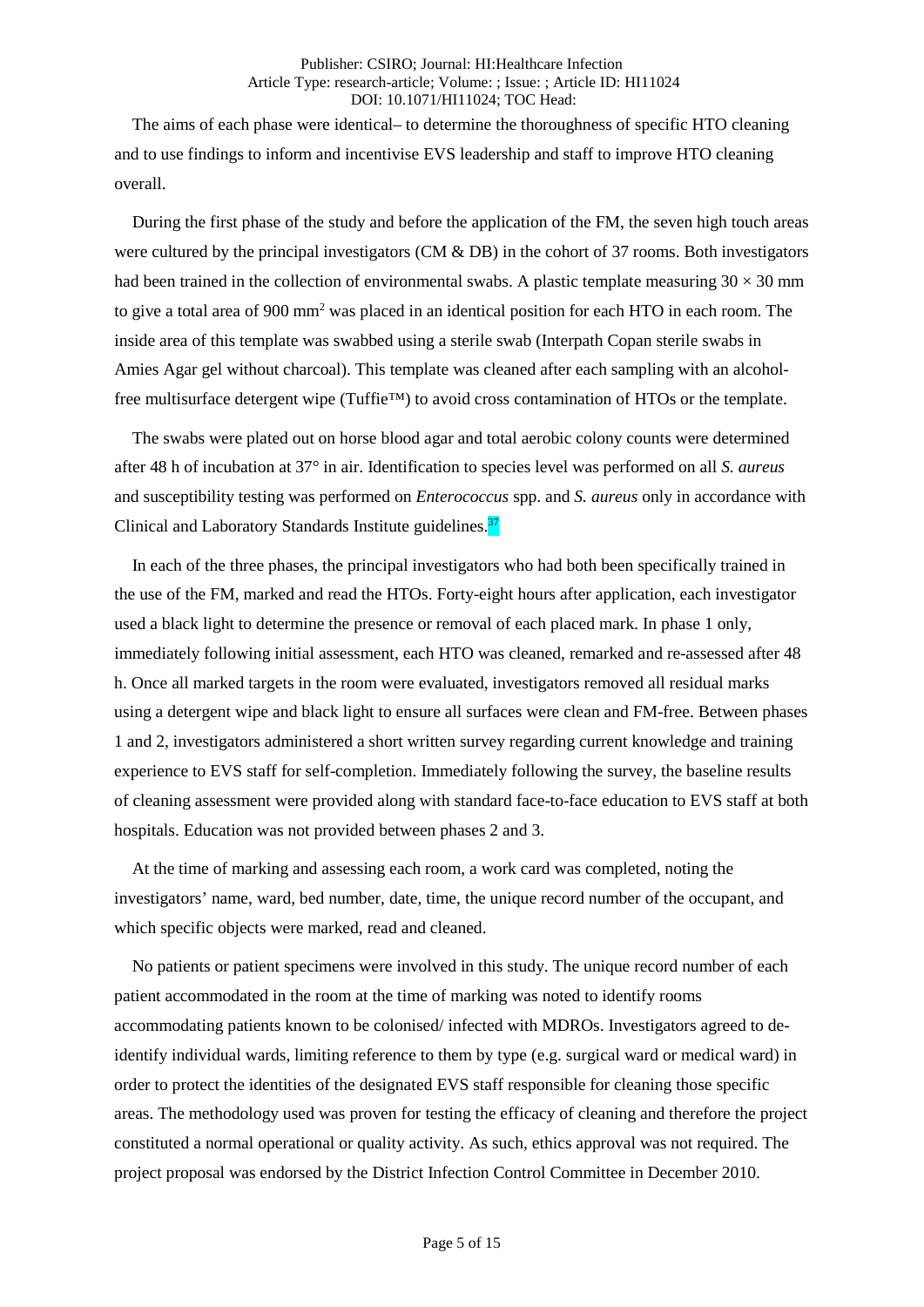The aims of each phase were identical– to determine the thoroughness of specific HTO cleaning and to use findings to inform and incentivise EVS leadership and staff to improve HTO cleaning overall.

During the first phase of the study and before the application of the FM, the seven high touch areas were cultured by the principal investigators (CM & DB) in the cohort of 37 rooms. Both investigators had been trained in the collection of environmental swabs. A plastic template measuring  $30 \times 30$  mm to give a total area of 900 mm<sup>2</sup> was placed in an identical position for each HTO in each room. The inside area of this template was swabbed using a sterile swab (Interpath Copan sterile swabs in Amies Agar gel without charcoal). This template was cleaned after each sampling with an alcoholfree multisurface detergent wipe (Tuffie™) to avoid cross contamination of HTOs or the template.

The swabs were plated out on horse blood agar and total aerobic colony counts were determined after 48 h of incubation at 37° in air. Identification to species level was performed on all *S. aureus* and susceptibility testing was performed on *Enterococcus* spp. and *S. aureus* only in accordance with Clinical and Laboratory Standards Institute guidelines.<sup>37</sup>

In each of the three phases, the principal investigators who had both been specifically trained in the use of the FM, marked and read the HTOs. Forty-eight hours after application, each investigator used a black light to determine the presence or removal of each placed mark. In phase 1 only, immediately following initial assessment, each HTO was cleaned, remarked and re-assessed after 48 h. Once all marked targets in the room were evaluated, investigators removed all residual marks using a detergent wipe and black light to ensure all surfaces were clean and FM-free. Between phases 1 and 2, investigators administered a short written survey regarding current knowledge and training experience to EVS staff for self-completion. Immediately following the survey, the baseline results of cleaning assessment were provided along with standard face-to-face education to EVS staff at both hospitals. Education was not provided between phases 2 and 3.

At the time of marking and assessing each room, a work card was completed, noting the investigators' name, ward, bed number, date, time, the unique record number of the occupant, and which specific objects were marked, read and cleaned.

No patients or patient specimens were involved in this study. The unique record number of each patient accommodated in the room at the time of marking was noted to identify rooms accommodating patients known to be colonised/ infected with MDROs. Investigators agreed to deidentify individual wards, limiting reference to them by type (e.g. surgical ward or medical ward) in order to protect the identities of the designated EVS staff responsible for cleaning those specific areas. The methodology used was proven for testing the efficacy of cleaning and therefore the project constituted a normal operational or quality activity. As such, ethics approval was not required. The project proposal was endorsed by the District Infection Control Committee in December 2010.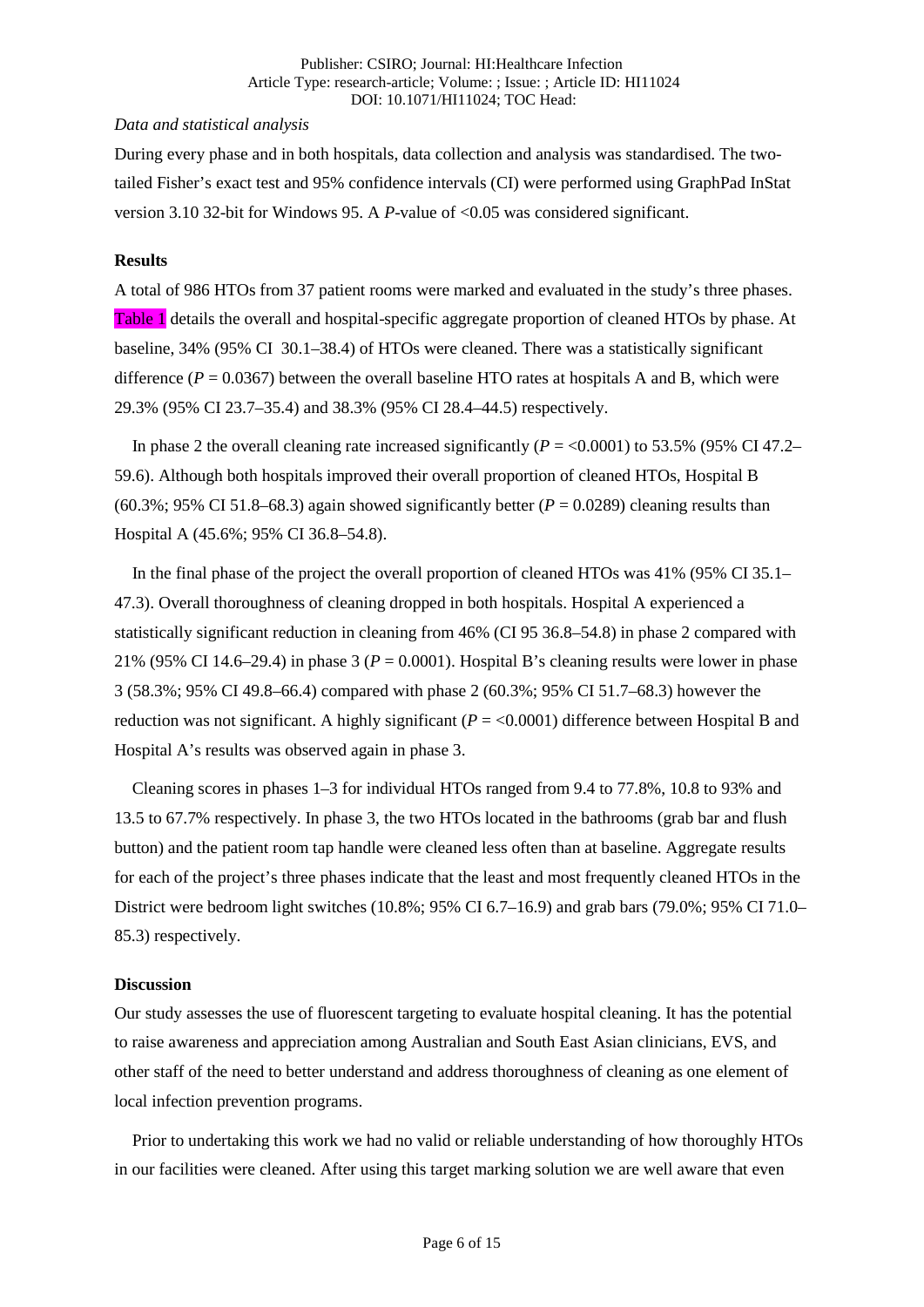#### *Data and statistical analysis*

During every phase and in both hospitals, data collection and analysis was standardised. The twotailed Fisher's exact test and 95% confidence intervals (CI) were performed using GraphPad InStat version 3.10 32-bit for Windows 95. A *P*-value of <0.05 was considered significant.

#### **Results**

A total of 986 HTOs from 37 patient rooms were marked and evaluated in the study's three phases. Table 1 details the overall and hospital-specific aggregate proportion of cleaned HTOs by phase. At baseline, 34% (95% CI 30.1–38.4) of HTOs were cleaned. There was a statistically significant difference  $(P = 0.0367)$  between the overall baseline HTO rates at hospitals A and B, which were 29.3% (95% CI 23.7–35.4) and 38.3% (95% CI 28.4–44.5) respectively.

In phase 2 the overall cleaning rate increased significantly ( $P = < 0.0001$ ) to 53.5% (95% CI 47.2– 59.6). Although both hospitals improved their overall proportion of cleaned HTOs, Hospital B  $(60.3\%; 95\% \text{ CI } 51.8 - 68.3)$  again showed significantly better  $(P = 0.0289)$  cleaning results than Hospital A (45.6%; 95% CI 36.8–54.8).

In the final phase of the project the overall proportion of cleaned HTOs was 41% (95% CI 35.1– 47.3). Overall thoroughness of cleaning dropped in both hospitals. Hospital A experienced a statistically significant reduction in cleaning from 46% (CI 95 36.8–54.8) in phase 2 compared with 21% (95% CI 14.6–29.4) in phase 3 (*P* = 0.0001). Hospital B's cleaning results were lower in phase 3 (58.3%; 95% CI 49.8–66.4) compared with phase 2 (60.3%; 95% CI 51.7–68.3) however the reduction was not significant. A highly significant (*P* = <0.0001) difference between Hospital B and Hospital A's results was observed again in phase 3.

Cleaning scores in phases 1–3 for individual HTOs ranged from 9.4 to 77.8%, 10.8 to 93% and 13.5 to 67.7% respectively. In phase 3, the two HTOs located in the bathrooms (grab bar and flush button) and the patient room tap handle were cleaned less often than at baseline. Aggregate results for each of the project's three phases indicate that the least and most frequently cleaned HTOs in the District were bedroom light switches (10.8%; 95% CI 6.7–16.9) and grab bars (79.0%; 95% CI 71.0– 85.3) respectively.

### **Discussion**

Our study assesses the use of fluorescent targeting to evaluate hospital cleaning. It has the potential to raise awareness and appreciation among Australian and South East Asian clinicians, EVS, and other staff of the need to better understand and address thoroughness of cleaning as one element of local infection prevention programs.

Prior to undertaking this work we had no valid or reliable understanding of how thoroughly HTOs in our facilities were cleaned. After using this target marking solution we are well aware that even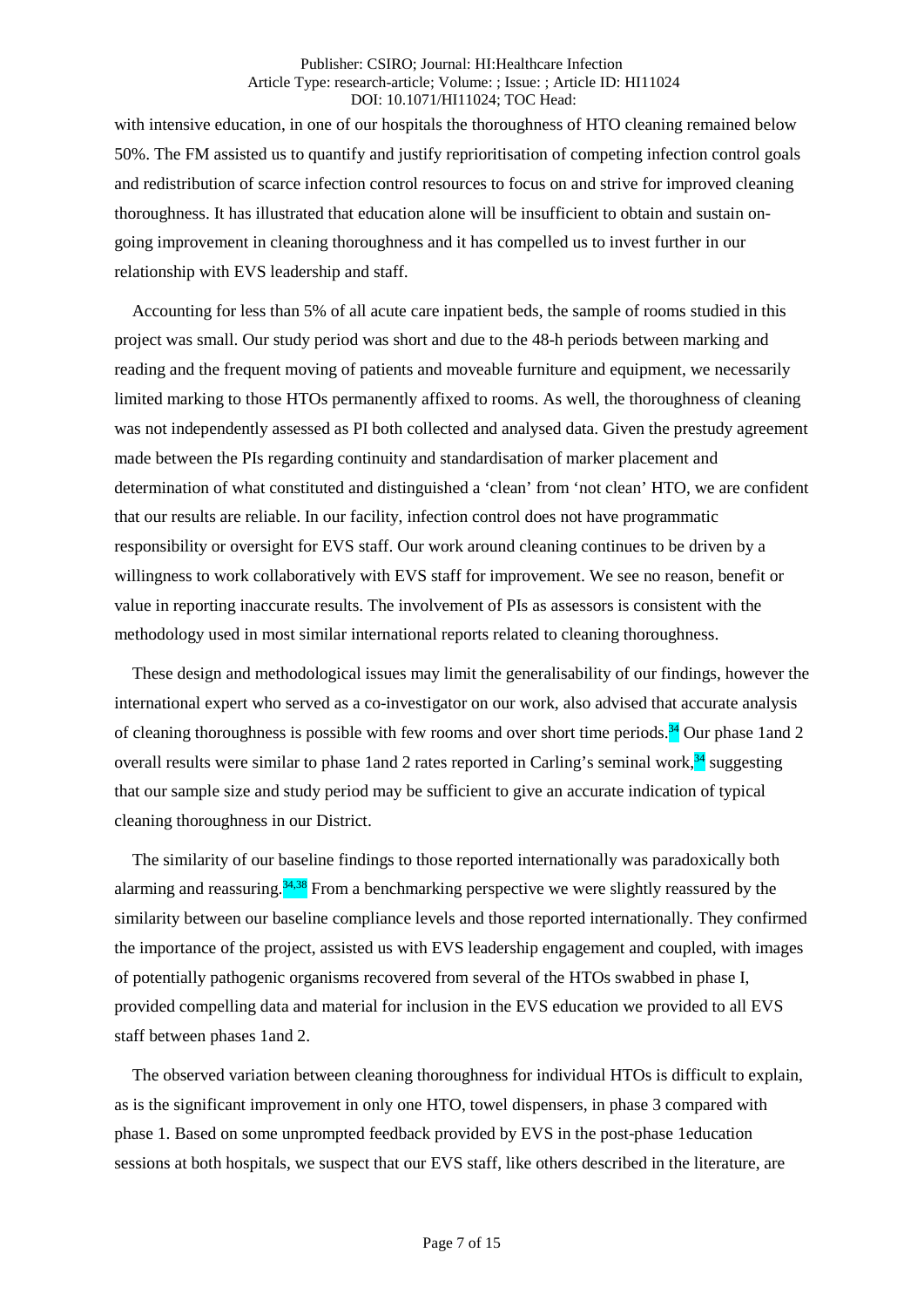with intensive education, in one of our hospitals the thoroughness of HTO cleaning remained below 50%. The FM assisted us to quantify and justify reprioritisation of competing infection control goals and redistribution of scarce infection control resources to focus on and strive for improved cleaning thoroughness. It has illustrated that education alone will be insufficient to obtain and sustain ongoing improvement in cleaning thoroughness and it has compelled us to invest further in our relationship with EVS leadership and staff.

Accounting for less than 5% of all acute care inpatient beds, the sample of rooms studied in this project was small. Our study period was short and due to the 48-h periods between marking and reading and the frequent moving of patients and moveable furniture and equipment, we necessarily limited marking to those HTOs permanently affixed to rooms. As well, the thoroughness of cleaning was not independently assessed as PI both collected and analysed data. Given the prestudy agreement made between the PIs regarding continuity and standardisation of marker placement and determination of what constituted and distinguished a 'clean' from 'not clean' HTO, we are confident that our results are reliable. In our facility, infection control does not have programmatic responsibility or oversight for EVS staff. Our work around cleaning continues to be driven by a willingness to work collaboratively with EVS staff for improvement. We see no reason, benefit or value in reporting inaccurate results. The involvement of PIs as assessors is consistent with the methodology used in most similar international reports related to cleaning thoroughness.

These design and methodological issues may limit the generalisability of our findings, however the international expert who served as a co-investigator on our work, also advised that accurate analysis of cleaning thoroughness is possible with few rooms and over short time periods.<sup>34</sup> Our phase 1 and 2 overall results were similar to phase 1 and 2 rates reported in Carling's seminal work, $34$  suggesting that our sample size and study period may be sufficient to give an accurate indication of typical cleaning thoroughness in our District.

The similarity of our baseline findings to those reported internationally was paradoxically both alarming and reassuring. $34,38$  From a benchmarking perspective we were slightly reassured by the similarity between our baseline compliance levels and those reported internationally. They confirmed the importance of the project, assisted us with EVS leadership engagement and coupled, with images of potentially pathogenic organisms recovered from several of the HTOs swabbed in phase I, provided compelling data and material for inclusion in the EVS education we provided to all EVS staff between phases 1and 2.

The observed variation between cleaning thoroughness for individual HTOs is difficult to explain, as is the significant improvement in only one HTO, towel dispensers, in phase 3 compared with phase 1. Based on some unprompted feedback provided by EVS in the post-phase 1education sessions at both hospitals, we suspect that our EVS staff, like others described in the literature, are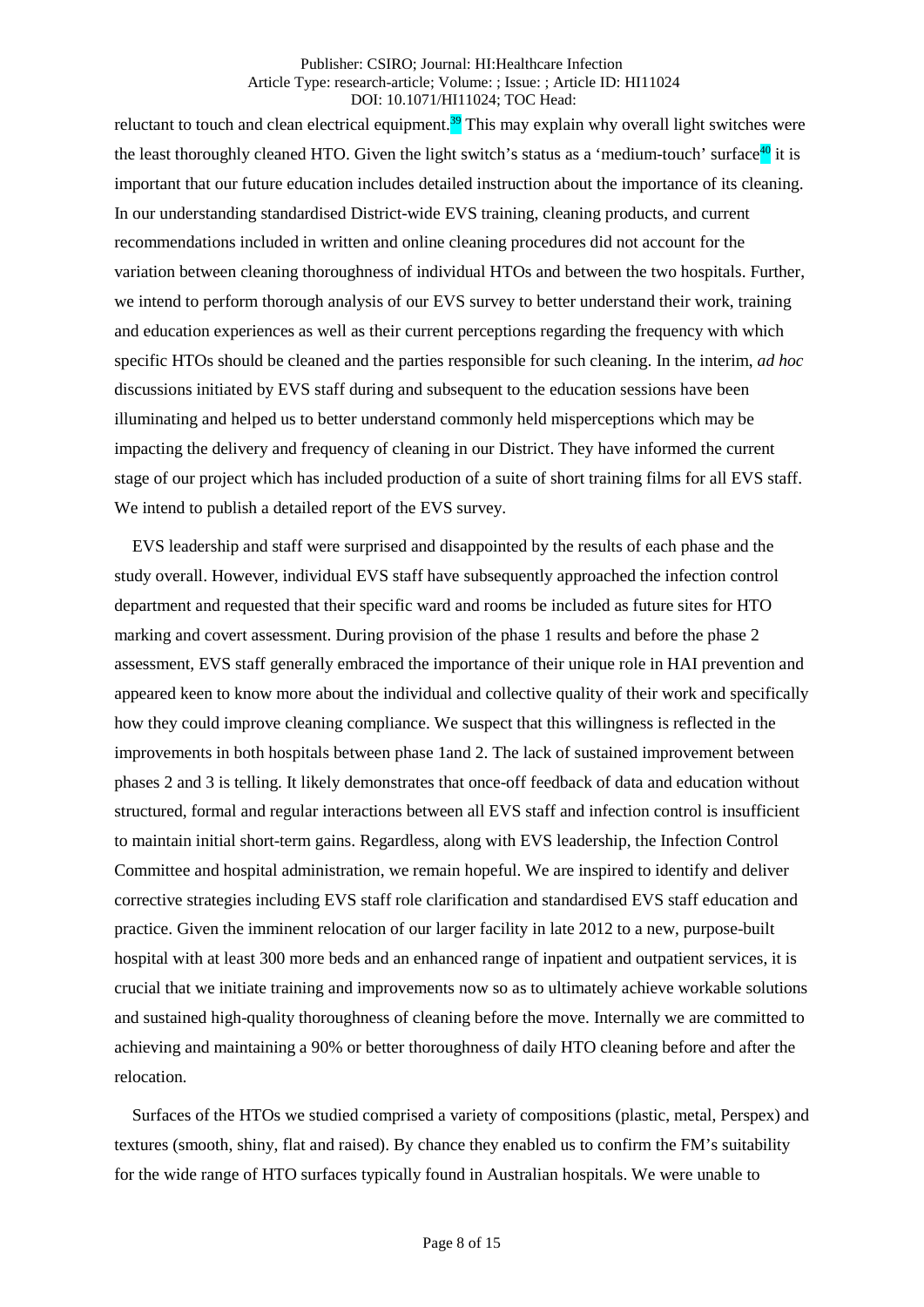reluctant to touch and clean electrical equipment.<sup>39</sup> This may explain why overall light switches were the least thoroughly cleaned HTO. Given the light switch's status as a 'medium-touch' surface  $40$  it is important that our future education includes detailed instruction about the importance of its cleaning. In our understanding standardised District-wide EVS training, cleaning products, and current recommendations included in written and online cleaning procedures did not account for the variation between cleaning thoroughness of individual HTOs and between the two hospitals. Further, we intend to perform thorough analysis of our EVS survey to better understand their work, training and education experiences as well as their current perceptions regarding the frequency with which specific HTOs should be cleaned and the parties responsible for such cleaning. In the interim, *ad hoc* discussions initiated by EVS staff during and subsequent to the education sessions have been illuminating and helped us to better understand commonly held misperceptions which may be impacting the delivery and frequency of cleaning in our District. They have informed the current stage of our project which has included production of a suite of short training films for all EVS staff. We intend to publish a detailed report of the EVS survey.

EVS leadership and staff were surprised and disappointed by the results of each phase and the study overall. However, individual EVS staff have subsequently approached the infection control department and requested that their specific ward and rooms be included as future sites for HTO marking and covert assessment. During provision of the phase 1 results and before the phase 2 assessment, EVS staff generally embraced the importance of their unique role in HAI prevention and appeared keen to know more about the individual and collective quality of their work and specifically how they could improve cleaning compliance. We suspect that this willingness is reflected in the improvements in both hospitals between phase 1and 2. The lack of sustained improvement between phases 2 and 3 is telling. It likely demonstrates that once-off feedback of data and education without structured, formal and regular interactions between all EVS staff and infection control is insufficient to maintain initial short-term gains. Regardless, along with EVS leadership, the Infection Control Committee and hospital administration, we remain hopeful. We are inspired to identify and deliver corrective strategies including EVS staff role clarification and standardised EVS staff education and practice. Given the imminent relocation of our larger facility in late 2012 to a new, purpose-built hospital with at least 300 more beds and an enhanced range of inpatient and outpatient services, it is crucial that we initiate training and improvements now so as to ultimately achieve workable solutions and sustained high-quality thoroughness of cleaning before the move. Internally we are committed to achieving and maintaining a 90% or better thoroughness of daily HTO cleaning before and after the relocation.

Surfaces of the HTOs we studied comprised a variety of compositions (plastic, metal, Perspex) and textures (smooth, shiny, flat and raised). By chance they enabled us to confirm the FM's suitability for the wide range of HTO surfaces typically found in Australian hospitals. We were unable to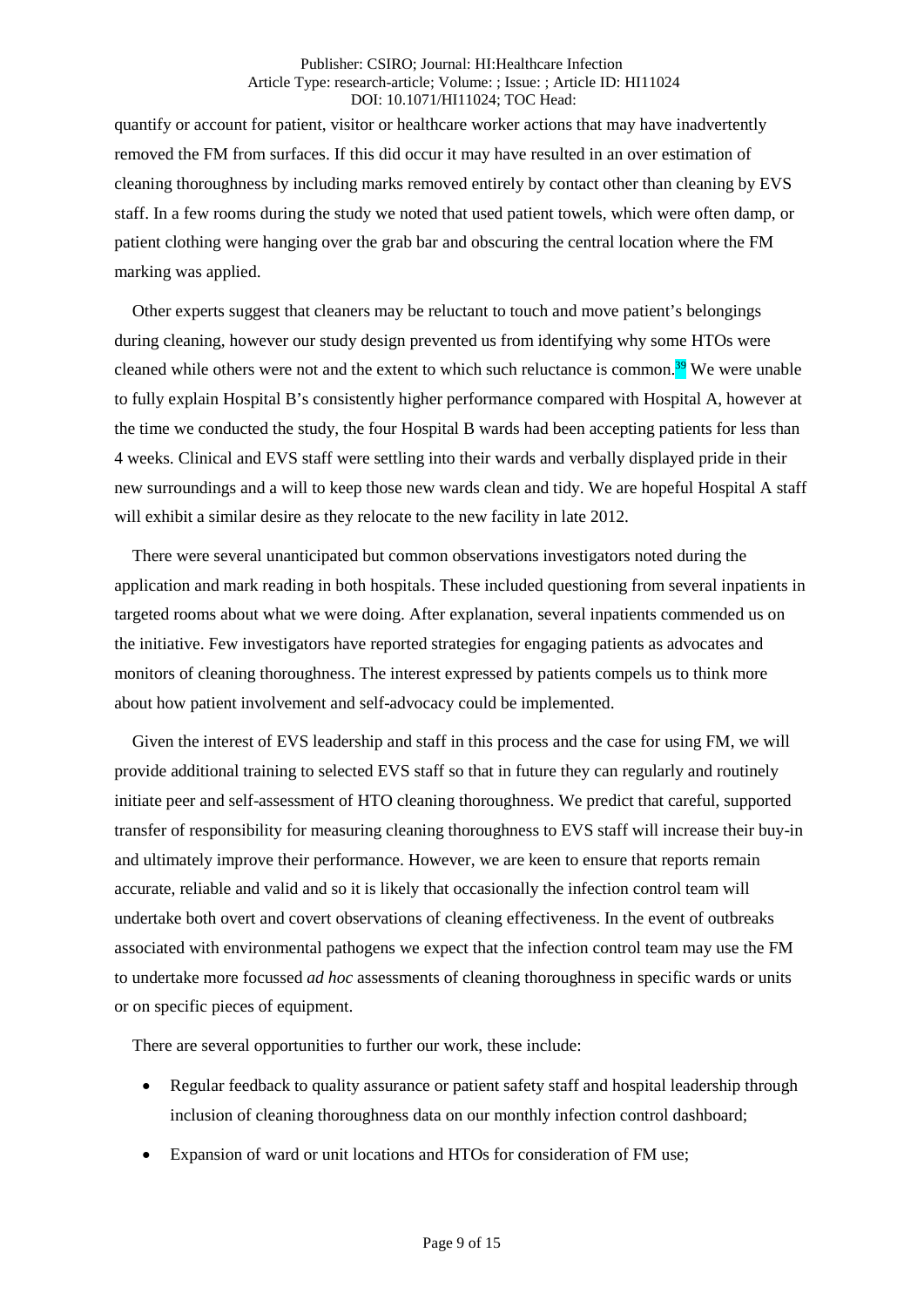quantify or account for patient, visitor or healthcare worker actions that may have inadvertently removed the FM from surfaces. If this did occur it may have resulted in an over estimation of cleaning thoroughness by including marks removed entirely by contact other than cleaning by EVS staff. In a few rooms during the study we noted that used patient towels, which were often damp, or patient clothing were hanging over the grab bar and obscuring the central location where the FM marking was applied.

Other experts suggest that cleaners may be reluctant to touch and move patient's belongings during cleaning, however our study design prevented us from identifying why some HTOs were cleaned while others were not and the extent to which such reluctance is common.<sup>39</sup> We were unable to fully explain Hospital B's consistently higher performance compared with Hospital A, however at the time we conducted the study, the four Hospital B wards had been accepting patients for less than 4 weeks. Clinical and EVS staff were settling into their wards and verbally displayed pride in their new surroundings and a will to keep those new wards clean and tidy. We are hopeful Hospital A staff will exhibit a similar desire as they relocate to the new facility in late 2012.

There were several unanticipated but common observations investigators noted during the application and mark reading in both hospitals. These included questioning from several inpatients in targeted rooms about what we were doing. After explanation, several inpatients commended us on the initiative. Few investigators have reported strategies for engaging patients as advocates and monitors of cleaning thoroughness. The interest expressed by patients compels us to think more about how patient involvement and self-advocacy could be implemented.

Given the interest of EVS leadership and staff in this process and the case for using FM, we will provide additional training to selected EVS staff so that in future they can regularly and routinely initiate peer and self-assessment of HTO cleaning thoroughness. We predict that careful, supported transfer of responsibility for measuring cleaning thoroughness to EVS staff will increase their buy-in and ultimately improve their performance. However, we are keen to ensure that reports remain accurate, reliable and valid and so it is likely that occasionally the infection control team will undertake both overt and covert observations of cleaning effectiveness. In the event of outbreaks associated with environmental pathogens we expect that the infection control team may use the FM to undertake more focussed *ad hoc* assessments of cleaning thoroughness in specific wards or units or on specific pieces of equipment.

There are several opportunities to further our work, these include:

- Regular feedback to quality assurance or patient safety staff and hospital leadership through inclusion of cleaning thoroughness data on our monthly infection control dashboard;
- Expansion of ward or unit locations and HTOs for consideration of FM use;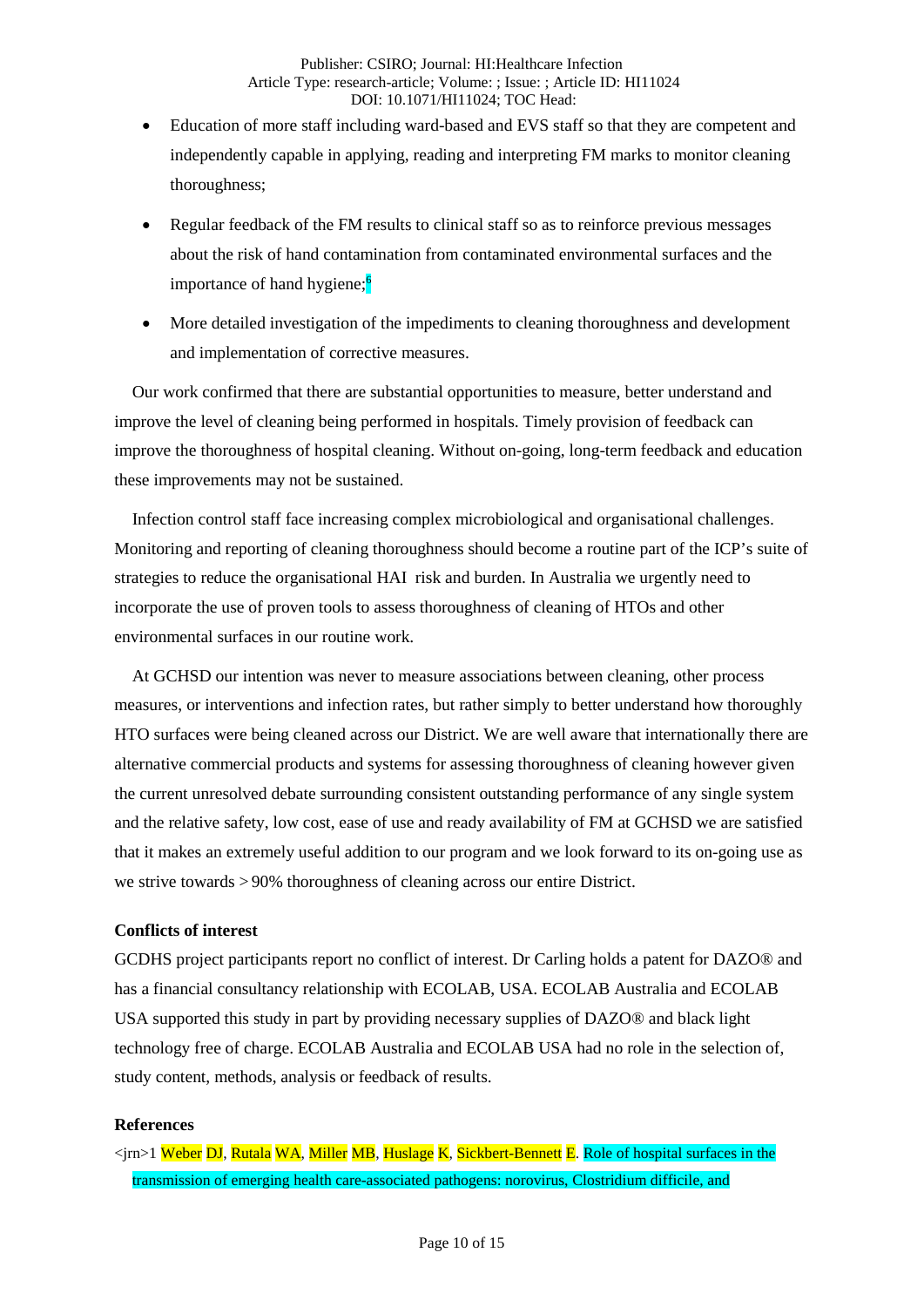- Education of more staff including ward-based and EVS staff so that they are competent and independently capable in applying, reading and interpreting FM marks to monitor cleaning thoroughness;
- Regular feedback of the FM results to clinical staff so as to reinforce previous messages about the risk of hand contamination from contaminated environmental surfaces and the importance of hand hygiene;<sup>6</sup>
- More detailed investigation of the impediments to cleaning thoroughness and development and implementation of corrective measures.

Our work confirmed that there are substantial opportunities to measure, better understand and improve the level of cleaning being performed in hospitals. Timely provision of feedback can improve the thoroughness of hospital cleaning. Without on-going, long-term feedback and education these improvements may not be sustained.

Infection control staff face increasing complex microbiological and organisational challenges. Monitoring and reporting of cleaning thoroughness should become a routine part of the ICP's suite of strategies to reduce the organisational HAI risk and burden. In Australia we urgently need to incorporate the use of proven tools to assess thoroughness of cleaning of HTOs and other environmental surfaces in our routine work.

At GCHSD our intention was never to measure associations between cleaning, other process measures, or interventions and infection rates, but rather simply to better understand how thoroughly HTO surfaces were being cleaned across our District. We are well aware that internationally there are alternative commercial products and systems for assessing thoroughness of cleaning however given the current unresolved debate surrounding consistent outstanding performance of any single system and the relative safety, low cost, ease of use and ready availability of FM at GCHSD we are satisfied that it makes an extremely useful addition to our program and we look forward to its on-going use as we strive towards > 90% thoroughness of cleaning across our entire District.

### **Conflicts of interest**

GCDHS project participants report no conflict of interest. Dr Carling holds a patent for DAZO® and has a financial consultancy relationship with ECOLAB, USA. ECOLAB Australia and ECOLAB USA supported this study in part by providing necessary supplies of DAZO® and black light technology free of charge. ECOLAB Australia and ECOLAB USA had no role in the selection of, study content, methods, analysis or feedback of results.

### **References**

 $\langle \sin \rangle$  Weber DJ, Rutala WA, Miller MB, Huslage K, Sickbert-Bennett E, Role of hospital surfaces in the transmission of emerging health care-associated pathogens: norovirus, Clostridium difficile, and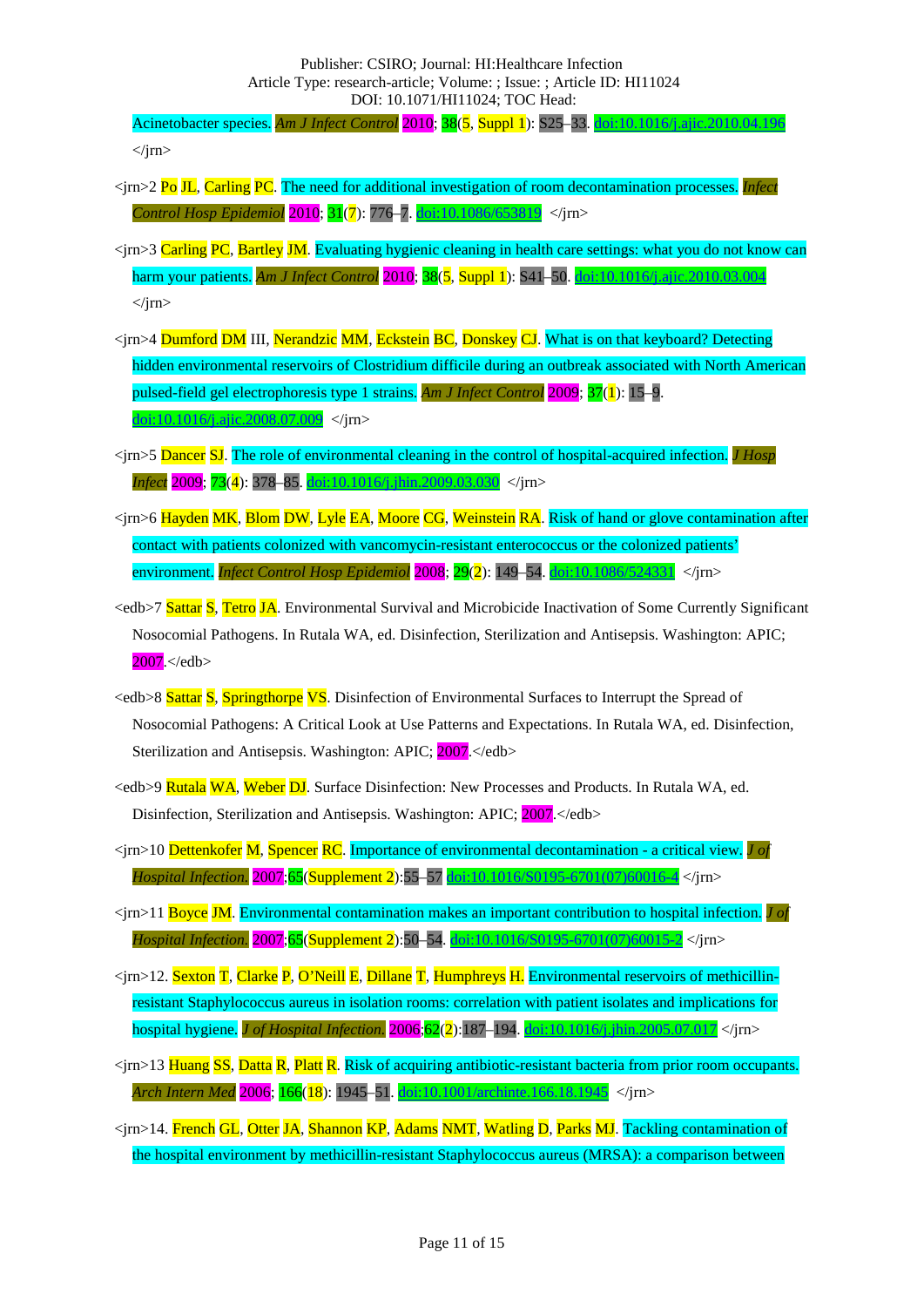Acinetobacter species. *Am J Infect Control* 2010; 38(5, Suppl 1): S25–33. [doi:10.1016/j.ajic.2010.04.196](http://dx.doi.org/10.1016/j.ajic.2010.04.196)   $\langle$ irn $\rangle$ 

- <jrn>2 Po JL, Carling PC. The need for additional investigation of room decontamination processes. *Infect Control Hosp Epidemiol* 2010; 31(7): 776–7. [doi:10.1086/653819](http://dx.doi.org/10.1086/653819) </jrn>
- <jrn>3 Carling PC, Bartley JM. Evaluating hygienic cleaning in health care settings: what you do not know can harm your patients. *Am J Infect Control* 2010; 38(5, Suppl 1): S41–50[. doi:10.1016/j.ajic.2010.03.004](http://dx.doi.org/10.1016/j.ajic.2010.03.004)   $\langle$ irn $>$
- <jrn>4 Dumford DM III, Nerandzic MM, Eckstein BC, Donskey CJ. What is on that keyboard? Detecting hidden environmental reservoirs of Clostridium difficile during an outbreak associated with North American pulsed-field gel electrophoresis type 1 strains. *Am J Infect Control* 2009; 37(1): 15–9. [doi:10.1016/j.ajic.2008.07.009](http://dx.doi.org/10.1016/j.ajic.2008.07.009) </jrn>
- <jrn>5 Dancer SJ. The role of environmental cleaning in the control of hospital-acquired infection. *J Hosp Infect* 2009; 73(4): 378–85[. doi:10.1016/j.jhin.2009.03.030](http://dx.doi.org/10.1016/j.jhin.2009.03.030) </jrn>
- <jrn>6 Hayden MK, Blom DW, Lyle EA, Moore CG, Weinstein RA. Risk of hand or glove contamination after contact with patients colonized with vancomycin-resistant enterococcus or the colonized patients' environment. *Infect Control Hosp Epidemiol* 2008; 29(2): 149–54. [doi:10.1086/524331](http://dx.doi.org/10.1086/524331) </jrn>
- <edb>7 Sattar S, Tetro JA. Environmental Survival and Microbicide Inactivation of Some Currently Significant Nosocomial Pathogens. In Rutala WA, ed. Disinfection, Sterilization and Antisepsis. Washington: APIC; 2007.</edb>
- <edb>8 Sattar S, Springthorpe VS. Disinfection of Environmental Surfaces to Interrupt the Spread of Nosocomial Pathogens: A Critical Look at Use Patterns and Expectations. In Rutala WA, ed. Disinfection, Sterilization and Antisepsis. Washington: APIC; 2007.</edb>
- <edb>9 Rutala WA, Weber DJ. Surface Disinfection: New Processes and Products. In Rutala WA, ed. Disinfection, Sterilization and Antisepsis. Washington: APIC; 2007.</edb>
- <jrn>10 Dettenkofer M, Spencer RC. Importance of environmental decontamination a critical view. *J of Hospital Infection.* 2007;65(Supplement 2):55–57 [doi:10.1016/S0195-6701\(07\)60016-4](http://dx.doi.org/10.1016/S0195-6701(07)60016-4) </jrn>
- <jrn>11 Boyce JM. Environmental contamination makes an important contribution to hospital infection. *J of Hospital Infection.* 2007;65(Supplement 2):50–54. [doi:10.1016/S0195-6701\(07\)60015-2](http://dx.doi.org/10.1016/S0195-6701(07)60015-2) </jrn>
- <jrn>12. Sexton T, Clarke P, O'Neill E, Dillane T, Humphreys H. Environmental reservoirs of methicillinresistant Staphylococcus aureus in isolation rooms: correlation with patient isolates and implications for hospital hygiene. *J of Hospital Infection.* 2006;62(2):187–194. [doi:10.1016/j.jhin.2005.07.017](http://dx.doi.org/10.1016/j.jhin.2005.07.017) </jrn>
- <jrn>13 Huang SS, Datta R, Platt R. Risk of acquiring antibiotic-resistant bacteria from prior room occupants. *Arch Intern Med* 2006; 166(18): 1945–51[. doi:10.1001/archinte.166.18.1945](http://dx.doi.org/10.1001/archinte.166.18.1945) </jrn>
- <jrn>14. French GL, Otter JA, Shannon KP, Adams NMT, Watling D, Parks MJ. Tackling contamination of the hospital environment by methicillin-resistant Staphylococcus aureus (MRSA): a comparison between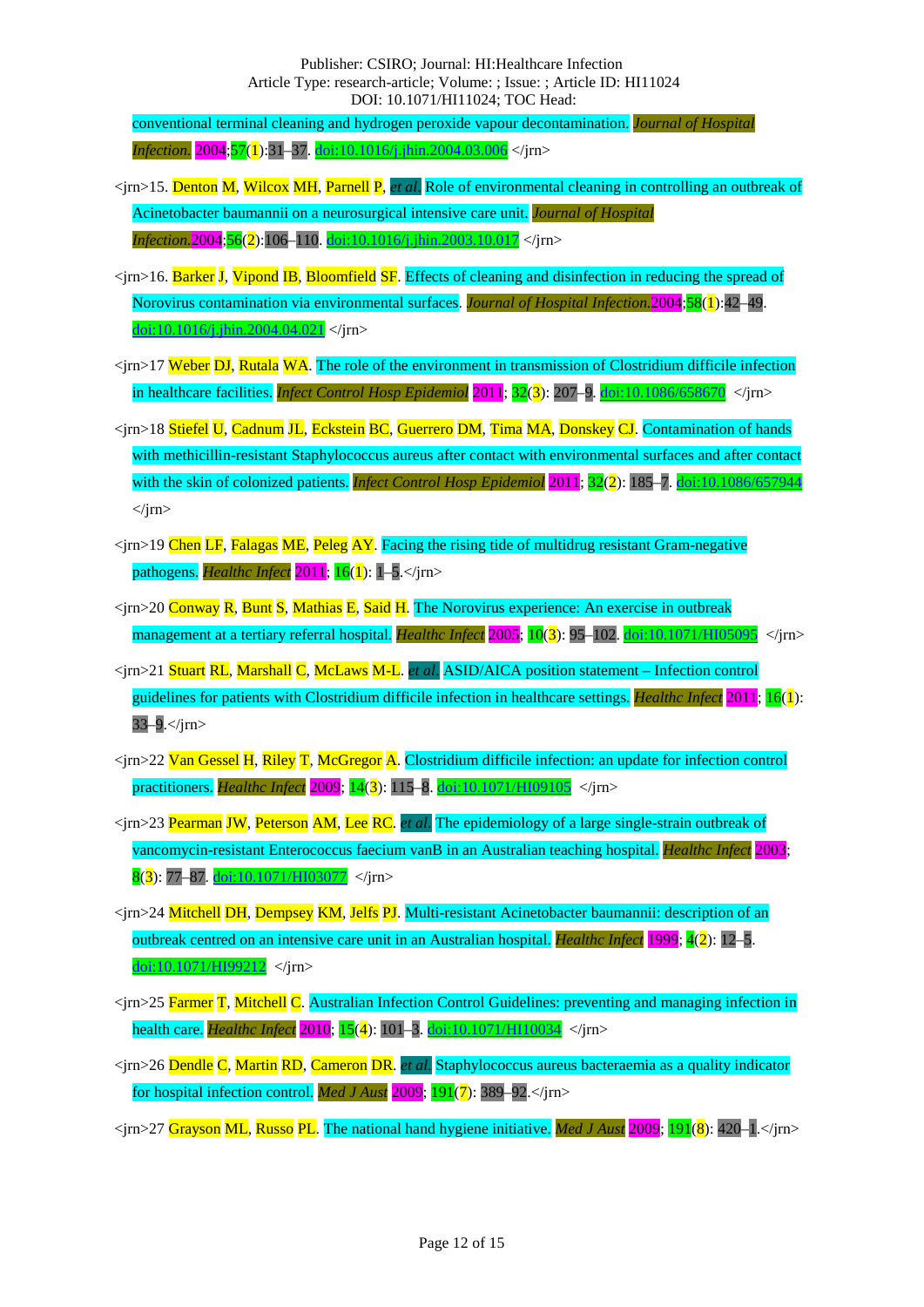conventional terminal cleaning and hydrogen peroxide vapour decontamination. *Journal of Hospital Infection.* 2004;57(1):31–37. [doi:10.1016/j.jhin.2004.03.006](http://dx.doi.org/10.1016/j.jhin.2004.03.006) </jrn>

- <jrn>15. Denton M, Wilcox MH, Parnell P, *et al*. Role of environmental cleaning in controlling an outbreak of Acinetobacter baumannii on a neurosurgical intensive care unit. *Journal of Hospital Infection.*2004;56(2):106–110[. doi:10.1016/j.jhin.2003.10.017](http://dx.doi.org/10.1016/j.jhin.2003.10.017) </jrn>
- <jrn>16. Barker J, Vipond IB, Bloomfield SF. Effects of cleaning and disinfection in reducing the spread of Norovirus contamination via environmental surfaces. *Journal of Hospital Infection.*2004;58(1):42–49. [doi:10.1016/j.jhin.2004.04.021](http://dx.doi.org/10.1016/j.jhin.2004.04.021) </jrn>
- <jrn>17 Weber DJ, Rutala WA. The role of the environment in transmission of Clostridium difficile infection in healthcare facilities. *Infect Control Hosp Epidemiol* 2011; 32(3): 207–9. [doi:10.1086/658670](http://dx.doi.org/10.1086/658670) </jrn>
- <jrn>18 Stiefel U, Cadnum JL, Eckstein BC, Guerrero DM, Tima MA, Donskey CJ. Contamination of hands with methicillin-resistant Staphylococcus aureus after contact with environmental surfaces and after contact with the skin of colonized patients. *Infect Control Hosp Epidemiol* 2011; 32(2): 185–7. doi:10.1086/657944  $\langle$ im>
- $\langle \text{tr} \rangle$  20 Chen LF, Falagas ME, Peleg AY. Facing the rising tide of multidrug resistant Gram-negative pathogens. *Healthc Infect* 2011; 16(1): 1–5.</jrn>
- $\langle \text{sin} \rangle$ 20 Conway R, Bunt S, Mathias E, Said H. The Norovirus experience: An exercise in outbreak management at a tertiary referral hospital. *Healthc Infect* 2005; 10(3): 95–102. [doi:10.1071/HI05095](http://dx.doi.org/10.1071/HI05095) </jrn>
- <jrn>21 Stuart RL, Marshall C, McLaws M-L. *et al*. ASID/AICA position statement Infection control guidelines for patients with Clostridium difficile infection in healthcare settings. *Healthc Infect* 2011; 16(1): 33–9.</jrn>
- <jrn>22 Van Gessel H, Riley T, McGregor A. Clostridium difficile infection: an update for infection control practitioners. *Healthc Infect* 2009; 14(3): 115–8. [doi:10.1071/HI09105](http://dx.doi.org/10.1071/HI09105) </jrn>
- <jrn>23 Pearman JW, Peterson AM, Lee RC. *et al*. The epidemiology of a large single-strain outbreak of vancomycin-resistant Enterococcus faecium vanB in an Australian teaching hospital. *Healthc Infect* 2003; 8(3): 77–87. [doi:10.1071/HI03077](http://dx.doi.org/10.1071/HI03077) </jrn>
- <jrn>24 Mitchell DH, Dempsey KM, Jelfs PJ. Multi-resistant Acinetobacter baumannii: description of an outbreak centred on an intensive care unit in an Australian hospital. *Healthc Infect* 1999; 4(2): 12–5. [doi:10.1071/HI99212](http://dx.doi.org/10.1071/HI99212) </jrn>
- <jrn>25 Farmer T, Mitchell C. Australian Infection Control Guidelines: preventing and managing infection in health care. *Healthc Infect* 2010; 15(4): 101–3. [doi:10.1071/HI10034](http://dx.doi.org/10.1071/HI10034) </jrn>
- <jrn>26 Dendle C, Martin RD, Cameron DR. *et al*. Staphylococcus aureus bacteraemia as a quality indicator for hospital infection control. *Med J Aust* 2009; 191(7): 389–92.</jrn>
- <jrn>27 Grayson ML, Russo PL. The national hand hygiene initiative. *Med J Aust* 2009; 191(8): 420–1.</jrn>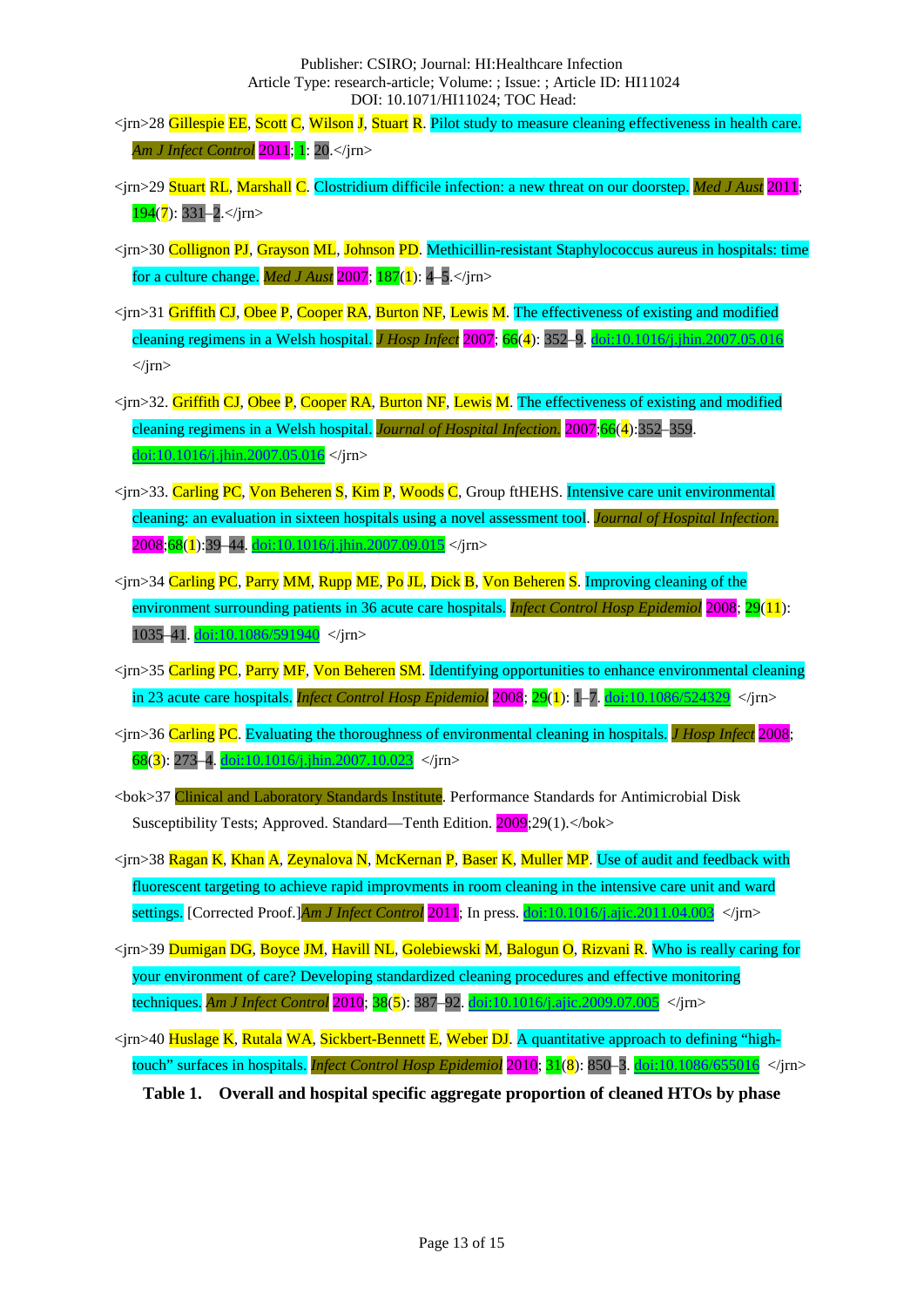- <jrn>28 Gillespie EE, Scott C, Wilson J, Stuart R. Pilot study to measure cleaning effectiveness in health care. *Am J Infect Control* 2011; 1: 20.</jrn>
- <jrn>29 Stuart RL, Marshall C. Clostridium difficile infection: a new threat on our doorstep. *Med J Aust* 2011;  $194(7)$ : 331–2.</jrn>
- <jrn>30 Collignon PJ, Grayson ML, Johnson PD. Methicillin-resistant Staphylococcus aureus in hospitals: time for a culture change. *Med J Aust* 2007; 187(1): 4–5.</jrn>
- <jrn>31 Griffith CJ, Obee P, Cooper RA, Burton NF, Lewis M. The effectiveness of existing and modified cleaning regimens in a Welsh hospital. *J Hosp Infect* 2007; 66(4): 352–9[. doi:10.1016/j.jhin.2007.05.016](http://dx.doi.org/10.1016/j.jhin.2007.05.016)   $\langle$ irn $\rangle$
- $\langle \text{sin} \rangle$ 32. Griffith CJ, Obee P, Cooper RA, Burton NF, Lewis M. The effectiveness of existing and modified cleaning regimens in a Welsh hospital. *Journal of Hospital Infection.* 2007;66(4):352–359. [doi:10.1016/j.jhin.2007.05.016](http://dx.doi.org/10.1016/j.jhin.2007.05.016) </jrn>
- <jrn>33. Carling PC, Von Beheren S, Kim P, Woods C, Group ftHEHS. Intensive care unit environmental cleaning: an evaluation in sixteen hospitals using a novel assessment tool. *Journal of Hospital Infection.* 2008;68(1):39–44. <u>doi:10.1016/j.jhin.2007.09.015</u> </jrn>
- $\langle \text{tr} \rangle$  34 Carling PC, Parry MM, Rupp ME, Po JL, Dick B, Von Beheren S. Improving cleaning of the environment surrounding patients in 36 acute care hospitals. *Infect Control Hosp Epidemiol* 2008; 29(11): 1035–41. [doi:10.1086/591940](http://dx.doi.org/10.1086/591940) </jrn>
- <jrn>35 Carling PC, Parry MF, Von Beheren SM. Identifying opportunities to enhance environmental cleaning in 23 acute care hospitals. *Infect Control Hosp Epidemiol* 2008; 29(1): 1–7[. doi:10.1086/524329](http://dx.doi.org/10.1086/524329) </jrn>
- <jrn>36 Carling PC. Evaluating the thoroughness of environmental cleaning in hospitals. *J Hosp Infect* 2008; 68(3): 273–4. [doi:10.1016/j.jhin.2007.10.023](http://dx.doi.org/10.1016/j.jhin.2007.10.023) </irn>
- <bok>37 Clinical and Laboratory Standards Institute. Performance Standards for Antimicrobial Disk Susceptibility Tests; Approved. Standard—Tenth Edition. 2009;29(1).</bok>
- $\langle \sin \theta \rangle$ 38 Ragan K, Khan A, Zeynalova N, McKernan P, Baser K, Muller MP. Use of audit and feedback with fluorescent targeting to achieve rapid improvments in room cleaning in the intensive care unit and ward settings. [Corrected Proof.]*Am J Infect Control* 2011; In press. [doi:10.1016/j.ajic.2011.04.003](http://dx.doi.org/10.1016/j.ajic.2011.04.003) </jrn>
- <jrn>39 Dumigan DG, Boyce JM, Havill NL, Golebiewski M, Balogun O, Rizvani R. Who is really caring for your environment of care? Developing standardized cleaning procedures and effective monitoring techniques. *Am J Infect Control* 2010; 38(5): 387–92. [doi:10.1016/j.ajic.2009.07.005](http://dx.doi.org/10.1016/j.ajic.2009.07.005) </jrn>
- $\langle \text{tr} \rangle$  40 Huslage K, Rutala WA, Sickbert-Bennett E, Weber DJ. A quantitative approach to defining "hightouch" surfaces in hospitals. *Infect Control Hosp Epidemiol* 2010; 31(8): 850–3. [doi:10.1086/655016](http://dx.doi.org/10.1086/655016) </jrn> **Table 1. Overall and hospital specific aggregate proportion of cleaned HTOs by phase**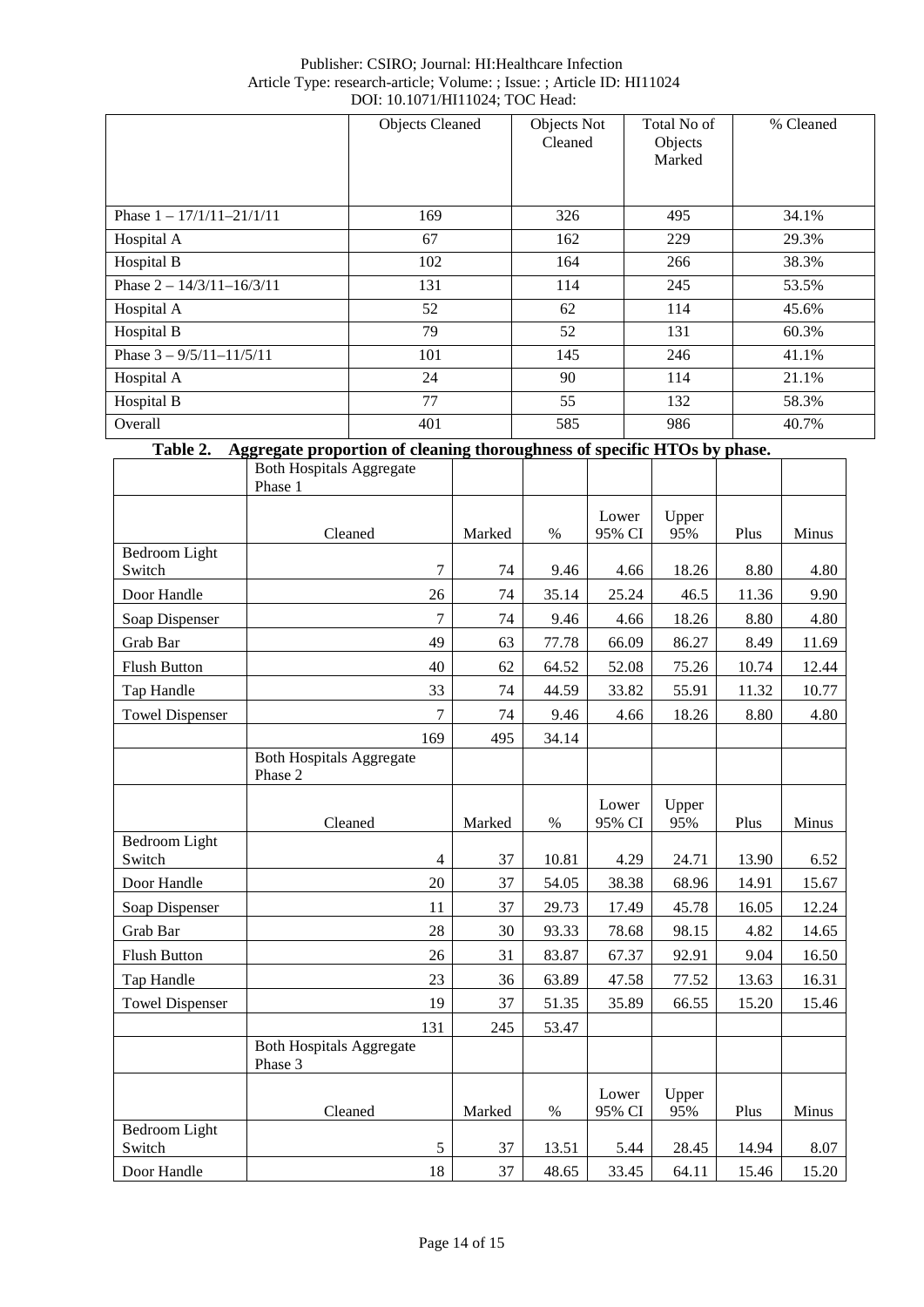| Publisher: CSIRO; Journal: HI: Healthcare Infection                    |
|------------------------------------------------------------------------|
| Article Type: research-article: Volume: : Issue: : Article ID: HI11024 |
| DOI: 10.1071/HI11024; TOC Head:                                        |

|                                              | <b>Objects Cleaned</b> | Objects Not<br>Cleaned | Total No of<br>Objects<br>Marked | % Cleaned |
|----------------------------------------------|------------------------|------------------------|----------------------------------|-----------|
| Phase $1 - \frac{17}{11 - \frac{21}{11}}$    | 169                    | 326                    | 495                              | 34.1%     |
| Hospital A                                   | 67                     | 162                    | 229                              | 29.3%     |
| Hospital B                                   | 102                    | 164                    | 266                              | 38.3%     |
| Phase $2 - 14/3/11 - 16/3/11$                | 131                    | 114                    | 245                              | 53.5%     |
| Hospital A                                   | 52                     | 62                     | 114                              | 45.6%     |
| Hospital B                                   | 79                     | 52                     | 131                              | 60.3%     |
| Phase $3 - \frac{9}{5}/11 - \frac{11}{5}/11$ | 101                    | 145                    | 246                              | 41.1%     |
| Hospital A                                   | 24                     | 90                     | 114                              | 21.1%     |
| Hospital B                                   | 77                     | 55                     | 132                              | 58.3%     |
| Overall                                      | 401                    | 585                    | 986                              | 40.7%     |

# **Table 2. Aggregate proportion of cleaning thoroughness of specific HTOs by phase.**

|                                | <b>Both Hospitals Aggregate</b><br>Phase 1 |        |       |                 |              |       |       |
|--------------------------------|--------------------------------------------|--------|-------|-----------------|--------------|-------|-------|
|                                | Cleaned                                    | Marked | %     | Lower<br>95% CI | Upper<br>95% | Plus  | Minus |
| <b>Bedroom Light</b><br>Switch | 7                                          | 74     | 9.46  | 4.66            | 18.26        | 8.80  | 4.80  |
| Door Handle                    | 26                                         | 74     | 35.14 | 25.24           | 46.5         | 11.36 | 9.90  |
| Soap Dispenser                 | $\overline{7}$                             | 74     | 9.46  | 4.66            | 18.26        | 8.80  | 4.80  |
| Grab Bar                       | 49                                         | 63     | 77.78 | 66.09           | 86.27        | 8.49  | 11.69 |
| <b>Flush Button</b>            | 40                                         | 62     | 64.52 | 52.08           | 75.26        | 10.74 | 12.44 |
| Tap Handle                     | 33                                         | 74     | 44.59 | 33.82           | 55.91        | 11.32 | 10.77 |
| <b>Towel Dispenser</b>         | $\tau$                                     | 74     | 9.46  | 4.66            | 18.26        | 8.80  | 4.80  |
|                                | 169                                        | 495    | 34.14 |                 |              |       |       |
|                                | <b>Both Hospitals Aggregate</b><br>Phase 2 |        |       |                 |              |       |       |
|                                | Cleaned                                    | Marked | $\%$  | Lower<br>95% CI | Upper<br>95% | Plus  | Minus |
| <b>Bedroom Light</b><br>Switch | 4                                          | 37     | 10.81 | 4.29            | 24.71        | 13.90 | 6.52  |
| Door Handle                    | 20                                         | 37     | 54.05 | 38.38           | 68.96        | 14.91 | 15.67 |
| Soap Dispenser                 | 11                                         | 37     | 29.73 | 17.49           | 45.78        | 16.05 | 12.24 |
| Grab Bar                       | $28\,$                                     | 30     | 93.33 | 78.68           | 98.15        | 4.82  | 14.65 |
| <b>Flush Button</b>            | 26                                         | 31     | 83.87 | 67.37           | 92.91        | 9.04  | 16.50 |
| Tap Handle                     | 23                                         | 36     | 63.89 | 47.58           | 77.52        | 13.63 | 16.31 |
| <b>Towel Dispenser</b>         | 19                                         | 37     | 51.35 | 35.89           | 66.55        | 15.20 | 15.46 |
|                                | 131                                        | 245    | 53.47 |                 |              |       |       |
|                                | <b>Both Hospitals Aggregate</b><br>Phase 3 |        |       |                 |              |       |       |
|                                | Cleaned                                    | Marked | %     | Lower<br>95% CI | Upper<br>95% | Plus  | Minus |
| Bedroom Light<br>Switch        | 5                                          | 37     | 13.51 | 5.44            | 28.45        | 14.94 | 8.07  |
| Door Handle                    | 18                                         | 37     | 48.65 | 33.45           | 64.11        | 15.46 | 15.20 |